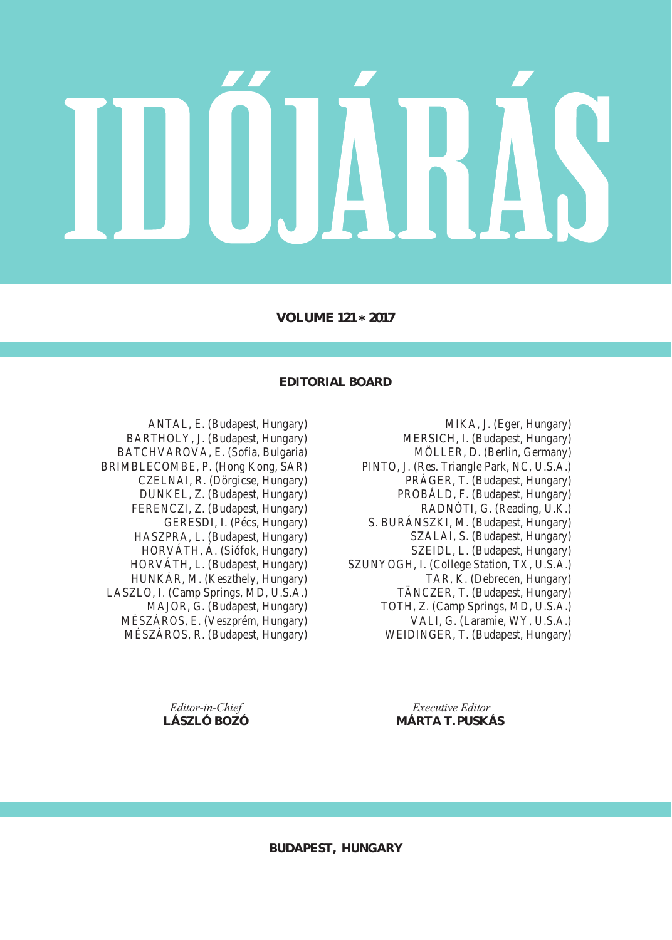**VOLUME 118 \* 2014 VOLUME 121 \* 2017 VOLUME 121 \* 2017 VOLUME 121 \* 2017**

#### **EDITORIAL BOARD EDITORIAL BOARD**

BARTHOLY, J. (Budapest, Hungary) BATCHVAROVA, E. (Sofia, Bulgaria) BRIMBLECOMBE, P. (Hong Kong, SAR) CZELNAI, R. (Dörgicse, Hungary) DUNKEL, Z. (Budapest, Hungary) FERENCZI, Z. (Budapest, Hungary) GERESDI, I. (Pécs, Hungary) HASZPRA, L. (Budapest, Hungary) HORVÁTH, Á. (Siófok, Hungary) HORVÁTH, L. (Budapest, Hungary) HUNKÁR, M. (Keszthely, Hungary) LASZLO, I. (Camp Springs, MD, U.S.A.) MAJOR, G. (Budapest, Hungary) MÉSZÁROS, E. (Veszprém, Hungary) MÉSZÁROS, R. (Budapest, Hungary) ANTAL, E. (Budapest, Hungary) ANTAL, E. (Budapest, Hungary)

MERSICH, I. (Budapest, Hungary) MÖLLER, D. (Berlin, Germany) PINTO, J. (Res. Triangle Park, NC, U.S.A.) PRÁGER, T. (Budapest, Hungary) PROBÁLD, F. (Budapest, Hungary) RADNÓTI, G. (Reading, U.K.) S. BURÁNSZKI, M. (Budapest, Hungary) SZALAI, S. (Budapest, Hungary) SZEIDL, L. (Budapest, Hungary) SZUNYOGH, I. (College Station, TX, U.S.A.) TAR, K. (Debrecen, Hungary) TÄNCZER, T. (Budapest, Hungary) TOTH, Z. (Camp Springs, MD, U.S.A.) VALI, G. (Laramie, WY, U.S.A.) WEIDINGER, T. (Budapest, Hungary) MIKA, J. (Eger, Hungary) MIKA, J. (Eger, Hungary)

*Editor-in-Chief* **Editor LÁSZLÓ BOZÓ MÁRTA T. PUSKÁS**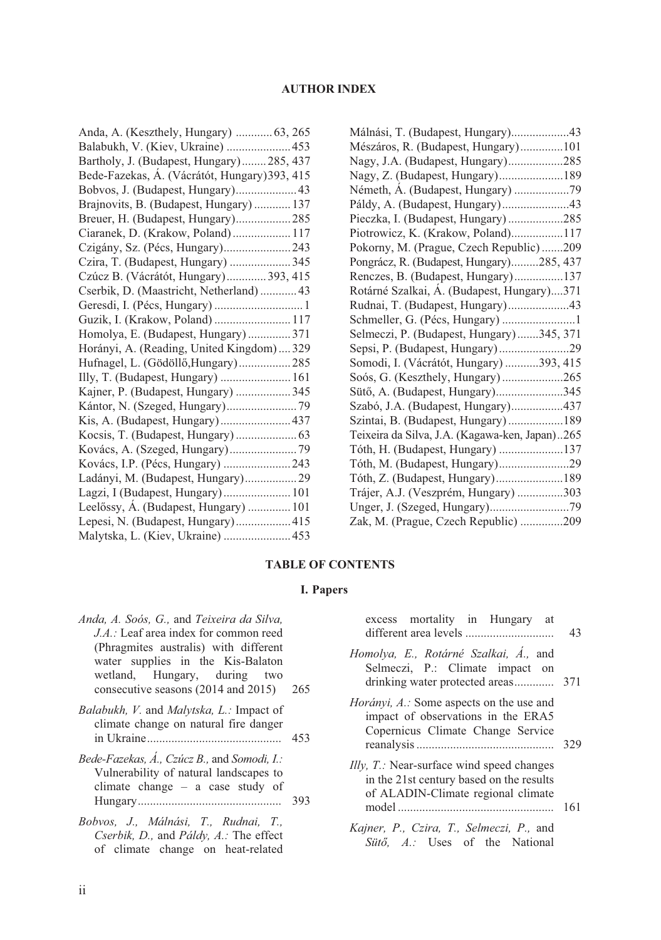## **AUTHOR INDEX**

| Anda, A. (Keszthely, Hungary)  63, 265        |
|-----------------------------------------------|
| Balabukh, V. (Kiev, Ukraine)  453             |
| Bartholy, J. (Budapest, Hungary) 285, 437     |
| Bede-Fazekas, Á. (Vácrátót, Hungary) 393, 415 |
| Bobvos, J. (Budapest, Hungary) 43             |
| Brajnovits, B. (Budapest, Hungary)  137       |
| Breuer, H. (Budapest, Hungary)285             |
| Ciaranek, D. (Krakow, Poland)  117            |
| Czigány, Sz. (Pécs, Hungary)243               |
| Czira, T. (Budapest, Hungary) 345             |
| Czúcz B. (Vácrátót, Hungary) 393, 415         |
| Cserbik, D. (Maastricht, Netherland)  43      |
|                                               |
| Guzik, I. (Krakow, Poland)  117               |
| Homolya, E. (Budapest, Hungary)  371          |
| Horányi, A. (Reading, United Kingdom)  329    |
| Hufnagel, L. (Gödöllő, Hungary) 285           |
| Illy, T. (Budapest, Hungary)  161             |
| Kajner, P. (Budapest, Hungary) 345            |
| Kántor, N. (Szeged, Hungary) 79               |
|                                               |
|                                               |
|                                               |
| Kovács, I.P. (Pécs, Hungary) 243              |
| Ladányi, M. (Budapest, Hungary)29             |
|                                               |
| Leelőssy, Á. (Budapest, Hungary)  101         |
| Lepesi, N. (Budapest, Hungary)415             |
| Malytska, L. (Kiev, Ukraine)  453             |
|                                               |

| Mészáros, R. (Budapest, Hungary)101            |
|------------------------------------------------|
| Nagy, J.A. (Budapest, Hungary)285              |
| Nagy, Z. (Budapest, Hungary)189                |
|                                                |
| Páldy, A. (Budapest, Hungary)43                |
| Pieczka, I. (Budapest, Hungary) 285            |
| Piotrowicz, K. (Krakow, Poland)117             |
| Pokorny, M. (Prague, Czech Republic) 209       |
| Pongrácz, R. (Budapest, Hungary)285, 437       |
| Renczes, B. (Budapest, Hungary)137             |
| Rotárné Szalkai, Á. (Budapest, Hungary)371     |
| Rudnai, T. (Budapest, Hungary)43               |
|                                                |
| Selmeczi, P. (Budapest, Hungary)345, 371       |
|                                                |
| Somodi, I. (Vácrátót, Hungary) 393, 415        |
| Soós, G. (Keszthely, Hungary)265               |
| Sütő, A. (Budapest, Hungary)345                |
| Szabó, J.A. (Budapest, Hungary)437             |
| Szintai, B. (Budapest, Hungary)189             |
| Teixeira da Silva, J.A. (Kagawa-ken, Japan)265 |
| Tóth, H. (Budapest, Hungary) 137               |
|                                                |
| Tóth, Z. (Budapest, Hungary)189                |
| Trájer, A.J. (Veszprém, Hungary) 303           |
|                                                |
| Zak, M. (Prague, Czech Republic) 209           |

#### **TABLE OF CONTENTS**

## **I. Papers**

| Anda, A. Soós, G., and Teixeira da Silva,<br>$J.A$ .: Leaf area index for common reed                                                                        |     | excess mortality in Hungary at                                                                                                     |  |
|--------------------------------------------------------------------------------------------------------------------------------------------------------------|-----|------------------------------------------------------------------------------------------------------------------------------------|--|
| (Phragmites australis) with different<br>water supplies in the Kis-Balaton<br>wetland, Hungary, during two<br>consecutive seasons $(2014 \text{ and } 2015)$ | 265 | Homolya, E., Rotárné Szalkai, Á., and<br>Selmeczi, P.: Climate impact on                                                           |  |
| Balabukh, V. and Malytska, L.: Impact of<br>climate change on natural fire danger                                                                            |     | <i>Horányi, A.:</i> Some aspects on the use and<br>impact of observations in the ERA5<br>Copernicus Climate Change Service         |  |
| Bede-Fazekas, A., Czúcz B., and Somodi, I.:<br>Vulnerability of natural landscapes to<br>climate change $-$ a case study of                                  |     | <i>Illy, T.:</i> Near-surface wind speed changes<br>in the 21st century based on the results<br>of ALADIN-Climate regional climate |  |
| Bobvos, J., Málnási, T., Rudnai, T.,<br>Cserbik, D., and Páldy, A.: The effect<br>of climate change on heat-related                                          |     | Kajner, P., Czira, T., Selmeczi, P., and<br>Sütő, A.: Uses of the National                                                         |  |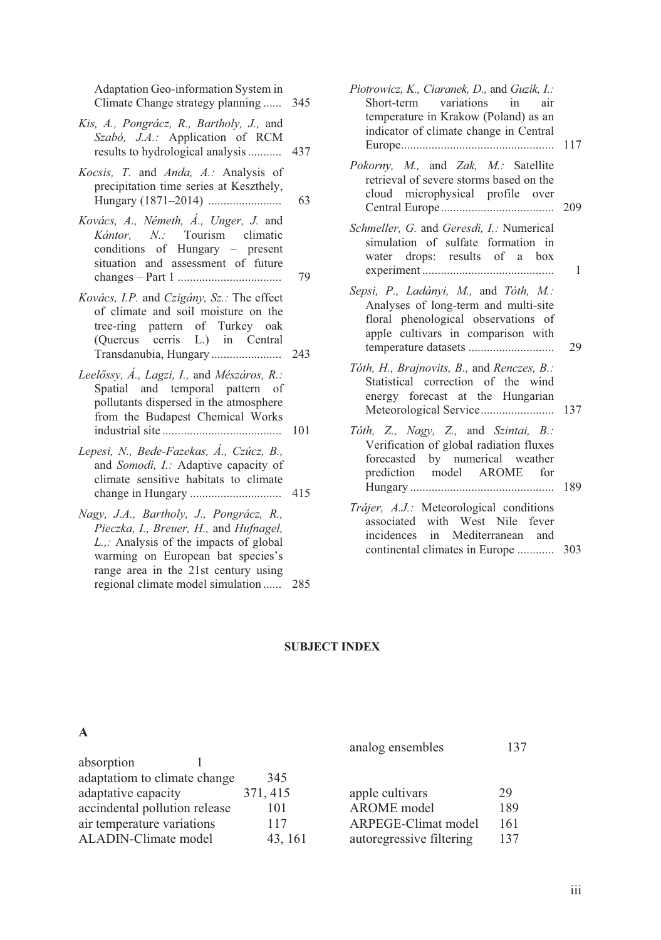| Adaptation Geo-information System in<br>Climate Change strategy planning                                                                                                       | 345 |
|--------------------------------------------------------------------------------------------------------------------------------------------------------------------------------|-----|
| Kis, A., Pongrácz, R., Bartholy, J., and<br>Szabó, J.A.: Application of RCM<br>results to hydrological analysis                                                                | 437 |
| Kocsis, T. and Anda, A.: Analysis of<br>precipitation time series at Keszthely,<br>Hungary (1871-2014)                                                                         | 63  |
| Kovács, A., Németh, Á., Unger, J. and<br>Kántor, N.: Tourism climatic<br>conditions of Hungary - present<br>situation and assessment of future                                 | 79  |
| Kovács, I.P. and Czigány, Sz.: The effect<br>of climate and soil moisture on the<br>tree-ring pattern of Turkey oak<br>(Quercus cerris L.) in Central<br>Transdanubia, Hungary | 243 |
| Leelőssy, Á., Lagzi, I., and Mészáros, R.:<br>Spatial and temporal pattern of<br>pollutants dispersed in the atmosphere<br>from the Budapest Chemical Works                    | 101 |
| Lepesi, N., Bede-Fazekas, A., Czúcz, B.,<br>and Somodi, I.: Adaptive capacity of<br>climate sensitive habitats to climate                                                      | 415 |
| Nagy, J.A., Bartholy, J., Pongrácz, R.,<br>Pieczka, I., Breuer, H., and Hufnagel,<br>$L_{\cdot}$ . Analysis of the impacts of global<br>warming on European bat species's      |     |

range area in the 21st century using regional climate model simulation ...... 285

| 117 | Piotrowicz, K., Ciaranek, D., and Guzik, I.:<br>Short-term variations in<br>air<br>temperature in Krakow (Poland) as an<br>indicator of climate change in Central                  |
|-----|------------------------------------------------------------------------------------------------------------------------------------------------------------------------------------|
| 209 | Pokorny, M., and Zak, M.: Satellite<br>retrieval of severe storms based on the<br>cloud microphysical profile over                                                                 |
| 1   | Schmeller, G. and Geresdi, I.: Numerical<br>simulation of sulfate formation in<br>water drops: results of a box                                                                    |
| 29  | Sepsi, P., Ladányi, M., and Tóth, M.:<br>Analyses of long-term and multi-site<br>floral phenological observations of<br>apple cultivars in comparison with<br>temperature datasets |
| 137 | Tóth, H., Brajnovits, B., and Renczes, B.:<br>Statistical correction of the wind<br>energy forecast at the Hungarian                                                               |
| 189 | Tóth, Z., Nagy, Z., and Szintai, B.:<br>Verification of global radiation fluxes<br>forecasted by numerical weather<br>prediction model AROME for                                   |
| 303 | Trájer, A.J.: Meteorological conditions<br>associated with West Nile fever<br>incidences in Mediterranean and                                                                      |
|     | continental climates in Europe                                                                                                                                                     |

#### **SUBJECT INDEX**

|                               |          | analog ensembles         | 137 |
|-------------------------------|----------|--------------------------|-----|
| absorption                    |          |                          |     |
| adaptatiom to climate change  | 345      |                          |     |
| adaptative capacity           | 371, 415 | apple cultivars          | 29  |
| accindental pollution release | 101      | <b>AROME</b> model       | 189 |
| air temperature variations    | 117      | ARPEGE-Climat model      | 161 |
| ALADIN-Climate model          | 43.161   | autoregressive filtering | 137 |
|                               |          |                          |     |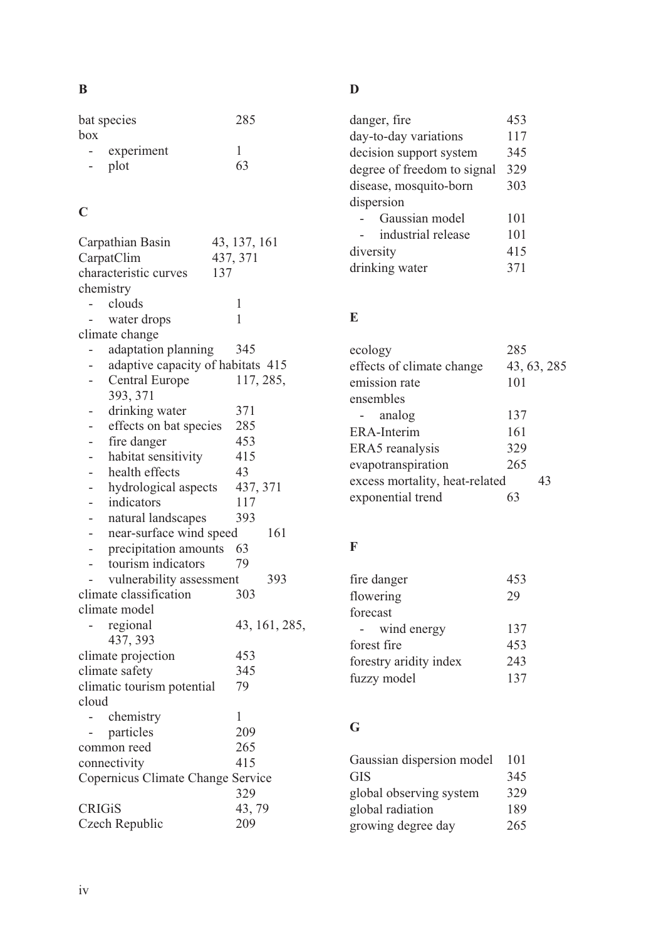|        | bat species | 285 |
|--------|-------------|-----|
| box    |             |     |
|        | experiment  |     |
| $\sim$ | plot        | 63  |

# **C**

|                                                            | Carpathian Basin                  | 43, 137, 161  |  |  |
|------------------------------------------------------------|-----------------------------------|---------------|--|--|
|                                                            | 437, 371<br>CarpatClim            |               |  |  |
|                                                            | characteristic curves<br>137      |               |  |  |
| chemistry                                                  |                                   |               |  |  |
|                                                            | clouds                            | 1             |  |  |
|                                                            | water drops                       | 1             |  |  |
|                                                            | climate change                    |               |  |  |
|                                                            | adaptation planning               | 345           |  |  |
|                                                            | adaptive capacity of habitats 415 |               |  |  |
|                                                            | Central Europe                    | 117, 285,     |  |  |
|                                                            | 393, 371                          |               |  |  |
|                                                            | drinking water                    | 371           |  |  |
|                                                            | effects on bat species            | 285           |  |  |
|                                                            | fire danger                       | 453           |  |  |
|                                                            | habitat sensitivity               | 415           |  |  |
|                                                            | health effects                    | 43            |  |  |
|                                                            | hydrological aspects              | 437, 371      |  |  |
|                                                            | indicators                        | 117           |  |  |
|                                                            | natural landscapes                | 393           |  |  |
| near-surface wind speed<br>161<br>$\overline{\phantom{0}}$ |                                   |               |  |  |
| $\overline{\phantom{0}}$                                   | precipitation amounts             | 63            |  |  |
|                                                            | tourism indicators                | 79            |  |  |
|                                                            | vulnerability assessment          | 393           |  |  |
|                                                            | climate classification            | 303           |  |  |
|                                                            | climate model                     |               |  |  |
|                                                            | regional                          | 43, 161, 285, |  |  |
|                                                            | 437, 393                          |               |  |  |
|                                                            | climate projection                | 453           |  |  |
|                                                            | climate safety                    | 345           |  |  |
|                                                            | climatic tourism potential        | 79            |  |  |
| cloud                                                      |                                   |               |  |  |
|                                                            | chemistry                         | 1             |  |  |
|                                                            | particles                         | 209           |  |  |
|                                                            | common reed                       | 265           |  |  |
|                                                            | connectivity                      | 415           |  |  |
| Copernicus Climate Change Service                          |                                   |               |  |  |
|                                                            |                                   | 329           |  |  |
| <b>CRIGIS</b>                                              |                                   | 43,79         |  |  |
|                                                            | Czech Republic                    | 209           |  |  |

# **D**

| 453 |
|-----|
| 117 |
| 345 |
| 329 |
| 303 |
|     |
| 101 |
| 101 |
| 415 |
| 371 |
|     |

# **E**

| ecology                        | 285         |
|--------------------------------|-------------|
| effects of climate change      | 43, 63, 285 |
| emission rate                  | 101         |
| ensembles                      |             |
| analog                         | 137         |
| ERA-Interim                    | 161         |
| ERA5 reanalysis                | 329         |
| evapotranspiration             | 265         |
| excess mortality, heat-related | 43          |
| exponential trend              |             |

# **F**

| fire danger            | 453 |
|------------------------|-----|
| flowering              | 29  |
| forecast               |     |
| wind energy            | 137 |
| forest fire            | 453 |
| forestry aridity index | 243 |
| fuzzy model            | 137 |
|                        |     |

# **G**

| Gaussian dispersion model | 101 |
|---------------------------|-----|
| GIS                       | 345 |
| global observing system   | 329 |
| global radiation          | 189 |
| growing degree day        | 265 |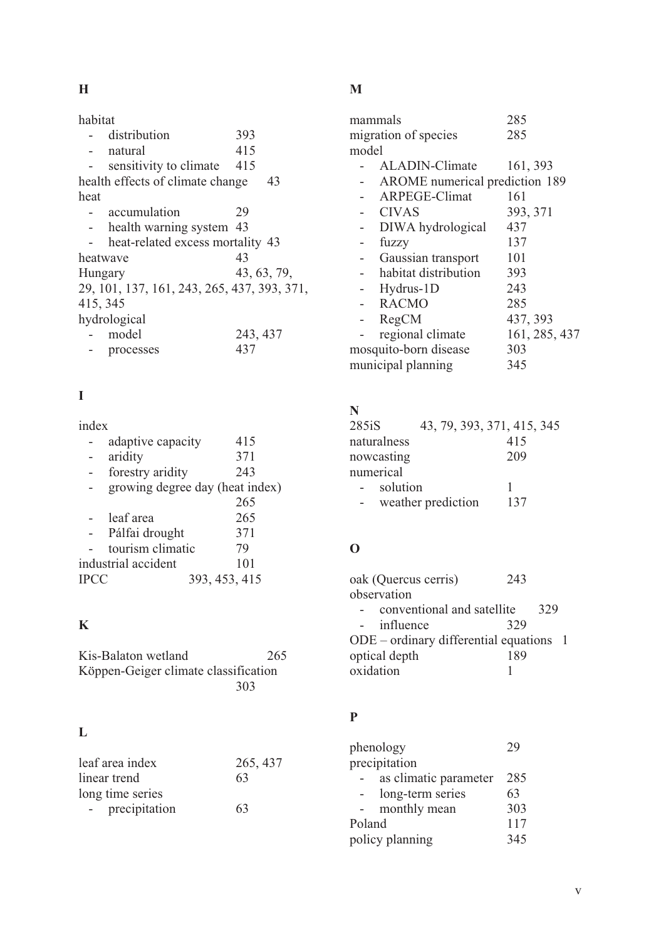**H** 

| navitat  |                                             |             |
|----------|---------------------------------------------|-------------|
|          | distribution                                | 393         |
|          | natural                                     | 415         |
|          | sensitivity to climate                      | 415         |
|          | health effects of climate change            | 43          |
| heat     |                                             |             |
|          | accumulation                                | 29          |
|          | health warning system 43                    |             |
|          | heat-related excess mortality 43            |             |
| heatwave |                                             | 43          |
| Hungary  |                                             | 43, 63, 79, |
|          | 29, 101, 137, 161, 243, 265, 437, 393, 371, |             |
| 415, 345 |                                             |             |
|          | hydrological                                |             |
|          | - model                                     | 243, 437    |
|          | processes                                   | 437         |
|          |                                             |             |

# **I**

|           |                              | 415                                                                         |                                                  |
|-----------|------------------------------|-----------------------------------------------------------------------------|--------------------------------------------------|
| aridity   |                              | 371                                                                         |                                                  |
|           |                              | 243                                                                         |                                                  |
|           |                              |                                                                             |                                                  |
|           |                              | 265                                                                         |                                                  |
| leaf area |                              | 265                                                                         |                                                  |
|           |                              | 371                                                                         |                                                  |
|           |                              | 79                                                                          |                                                  |
|           |                              | 101                                                                         |                                                  |
|           |                              |                                                                             |                                                  |
|           | index<br>industrial accident | adaptive capacity<br>forestry aridity<br>Pálfai drought<br>tourism climatic | growing degree day (heat index)<br>393, 453, 415 |

# **K**

| Kis-Balaton wetland                  | 265 |
|--------------------------------------|-----|
| Köppen-Geiger climate classification |     |
| 303                                  |     |

# **L**

| leaf area index         | 265, 437 |
|-------------------------|----------|
| linear trend            | 63       |
| long time series        |          |
| precipitation<br>$\sim$ | 63       |

# **M**

|       | mammals                        | 285           |
|-------|--------------------------------|---------------|
|       | migration of species           | 285           |
| model |                                |               |
|       | ALADIN-Climate                 | 161, 393      |
|       | AROME numerical prediction 189 |               |
|       | ARPEGE-Climat                  | 161           |
|       | <b>CIVAS</b>                   | 393, 371      |
|       | DIWA hydrological              | 437           |
|       | fuzzy                          | 137           |
|       | Gaussian transport             | 101           |
|       | habitat distribution           | 393           |
|       | Hydrus-1D                      | 243           |
|       | <b>RACMO</b>                   | 285           |
|       | RegCM                          | 437, 393      |
|       | regional climate               | 161, 285, 437 |
|       | mosquito-born disease          | 303           |
|       | municipal planning             | 345           |
|       |                                |               |

# **N**

| 285iS       | 43, 79, 393, 371, 415, 345 |     |
|-------------|----------------------------|-----|
| naturalness |                            | 415 |
| nowcasting  |                            | 209 |
| numerical   |                            |     |
| solution    |                            |     |
|             | weather prediction         | 137 |

## **O**

| oak (Ouercus cerris)                      | 243 |     |  |
|-------------------------------------------|-----|-----|--|
| observation                               |     |     |  |
| conventional and satellite                |     | 329 |  |
| influence<br>$\sim$                       | 329 |     |  |
| $ODE$ – ordinary differential equations 1 |     |     |  |
| optical depth                             | 189 |     |  |
| oxidation                                 |     |     |  |
|                                           |     |     |  |

## **P**

|                 | phenology             | 29  |
|-----------------|-----------------------|-----|
|                 | precipitation         |     |
|                 | as climatic parameter | 285 |
|                 | long-term series      | 63  |
|                 | monthly mean          | 303 |
| Poland          |                       | 117 |
| policy planning |                       | 345 |
|                 |                       |     |